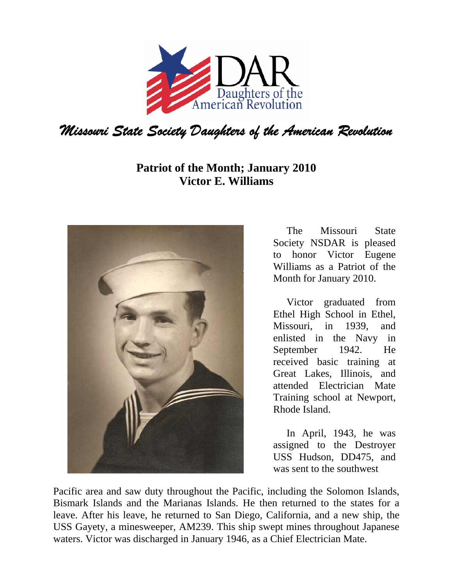

## **Patriot of the Month; January 2010 Victor E. Williams**



The Missouri State Society NSDAR is pleased to honor Victor Eugene Williams as a Patriot of the Month for January 2010.

Victor graduated from Ethel High School in Ethel, Missouri, in 1939, and enlisted in the Navy in September 1942. He received basic training at Great Lakes, Illinois, and attended Electrician Mate Training school at Newport, Rhode Island.

In April, 1943, he was assigned to the Destroyer USS Hudson, DD475, and was sent to the southwest

Pacific area and saw duty throughout the Pacific, including the Solomon Islands, Bismark Islands and the Marianas Islands. He then returned to the states for a leave. After his leave, he returned to San Diego, California, and a new ship, the USS Gayety, a minesweeper, AM239. This ship swept mines throughout Japanese waters. Victor was discharged in January 1946, as a Chief Electrician Mate.